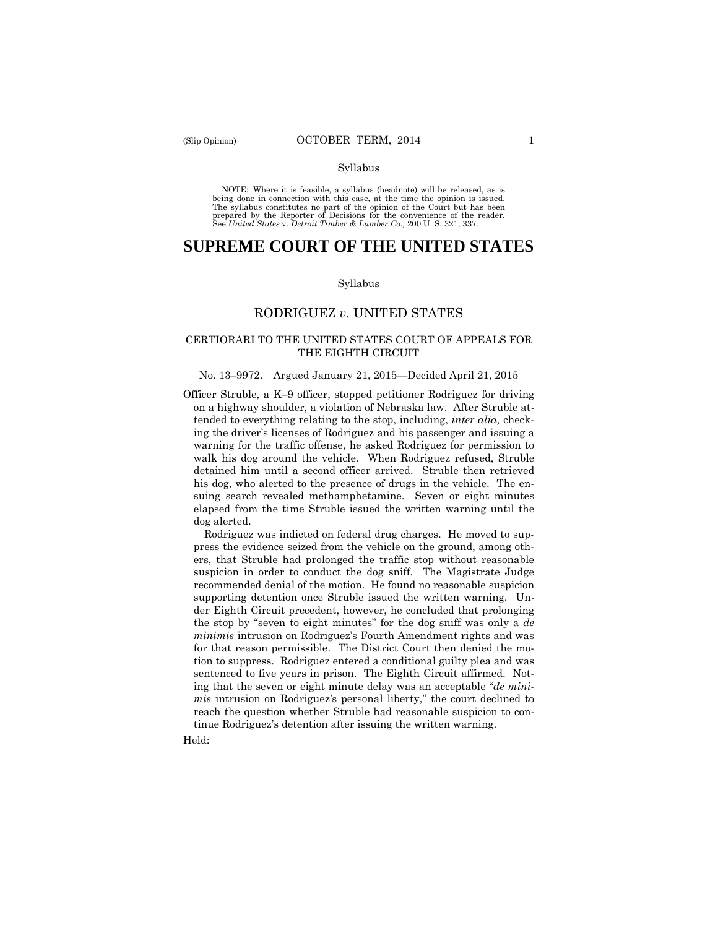#### Syllabus

 NOTE: Where it is feasible, a syllabus (headnote) will be released, as is being done in connection with this case, at the time the opinion is issued. The syllabus constitutes no part of the opinion of the Court but has been<br>prepared by the Reporter of Decisions for the convenience of the reader.<br>See United States v. Detroit Timber & Lumber Co., 200 U.S. 321, 337.

# **SUPREME COURT OF THE UNITED STATES**

#### Syllabus

## RODRIGUEZ *v*. UNITED STATES

### CERTIORARI TO THE UNITED STATES COURT OF APPEALS FOR THE EIGHTH CIRCUIT

#### No. 13–9972. Argued January 21, 2015—Decided April 21, 2015

Officer Struble, a K–9 officer, stopped petitioner Rodriguez for driving on a highway shoulder, a violation of Nebraska law. After Struble attended to everything relating to the stop, including, *inter alia,* checking the driver's licenses of Rodriguez and his passenger and issuing a warning for the traffic offense, he asked Rodriguez for permission to walk his dog around the vehicle. When Rodriguez refused, Struble detained him until a second officer arrived. Struble then retrieved his dog, who alerted to the presence of drugs in the vehicle. The ensuing search revealed methamphetamine. Seven or eight minutes elapsed from the time Struble issued the written warning until the dog alerted.

Rodriguez was indicted on federal drug charges. He moved to suppress the evidence seized from the vehicle on the ground, among others, that Struble had prolonged the traffic stop without reasonable suspicion in order to conduct the dog sniff. The Magistrate Judge recommended denial of the motion. He found no reasonable suspicion supporting detention once Struble issued the written warning. Under Eighth Circuit precedent, however, he concluded that prolonging the stop by "seven to eight minutes" for the dog sniff was only a *de minimis* intrusion on Rodriguez's Fourth Amendment rights and was for that reason permissible. The District Court then denied the motion to suppress. Rodriguez entered a conditional guilty plea and was sentenced to five years in prison. The Eighth Circuit affirmed. Noting that the seven or eight minute delay was an acceptable "*de minimis* intrusion on Rodriguez's personal liberty," the court declined to reach the question whether Struble had reasonable suspicion to continue Rodriguez's detention after issuing the written warning.

Held: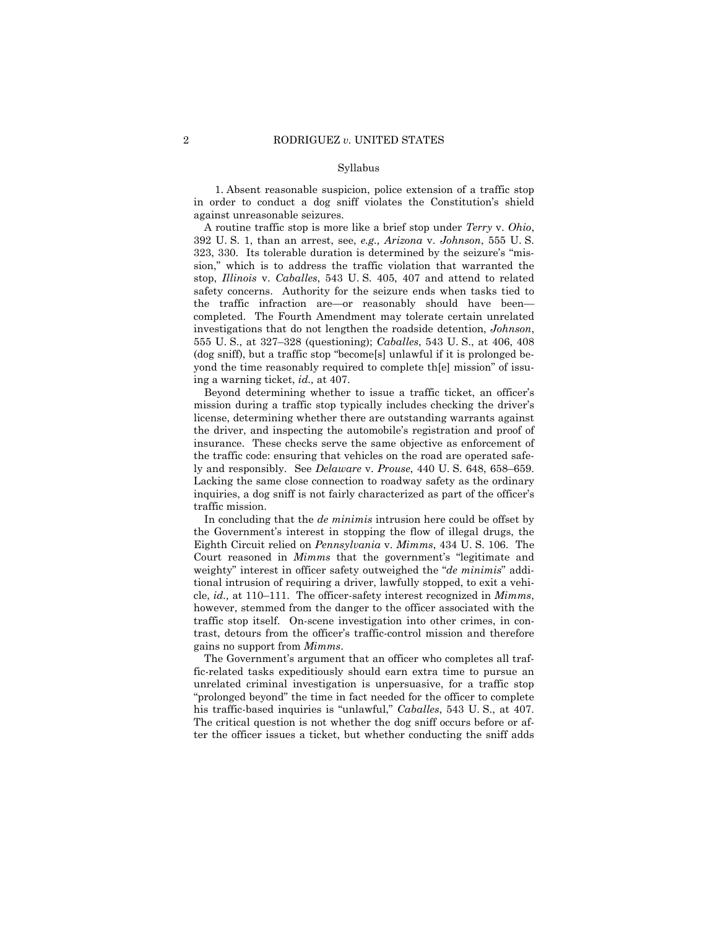#### Syllabus

1. Absent reasonable suspicion, police extension of a traffic stop in order to conduct a dog sniff violates the Constitution's shield against unreasonable seizures.

A routine traffic stop is more like a brief stop under *Terry* v. *Ohio*, 392 U. S. 1, than an arrest, see, *e.g., Arizona* v. *Johnson*, 555 U. S. 323, 330. Its tolerable duration is determined by the seizure's "mission," which is to address the traffic violation that warranted the stop, *Illinois* v. *Caballes*, 543 U. S. 405, 407 and attend to related safety concerns. Authority for the seizure ends when tasks tied to the traffic infraction are—or reasonably should have been completed. The Fourth Amendment may tolerate certain unrelated investigations that do not lengthen the roadside detention, *Johnson*, 555 U. S., at 327–328 (questioning); *Caballes*, 543 U. S., at 406, 408 (dog sniff), but a traffic stop "become[s] unlawful if it is prolonged beyond the time reasonably required to complete th[e] mission" of issuing a warning ticket, *id.,* at 407.

Beyond determining whether to issue a traffic ticket, an officer's mission during a traffic stop typically includes checking the driver's license, determining whether there are outstanding warrants against the driver, and inspecting the automobile's registration and proof of insurance. These checks serve the same objective as enforcement of the traffic code: ensuring that vehicles on the road are operated safely and responsibly. See *Delaware* v. *Prouse*, 440 U. S. 648, 658–659. Lacking the same close connection to roadway safety as the ordinary inquiries, a dog sniff is not fairly characterized as part of the officer's traffic mission.

In concluding that the *de minimis* intrusion here could be offset by the Government's interest in stopping the flow of illegal drugs, the Eighth Circuit relied on *Pennsylvania* v. *Mimms*, 434 U. S. 106. The Court reasoned in *Mimms* that the government's "legitimate and weighty" interest in officer safety outweighed the "*de minimis*" additional intrusion of requiring a driver, lawfully stopped, to exit a vehicle, *id.,* at 110–111. The officer-safety interest recognized in *Mimms*, however, stemmed from the danger to the officer associated with the traffic stop itself. On-scene investigation into other crimes, in contrast, detours from the officer's traffic-control mission and therefore gains no support from *Mimms*.

The Government's argument that an officer who completes all traffic-related tasks expeditiously should earn extra time to pursue an unrelated criminal investigation is unpersuasive, for a traffic stop "prolonged beyond" the time in fact needed for the officer to complete his traffic-based inquiries is "unlawful," *Caballes*, 543 U. S., at 407. The critical question is not whether the dog sniff occurs before or after the officer issues a ticket, but whether conducting the sniff adds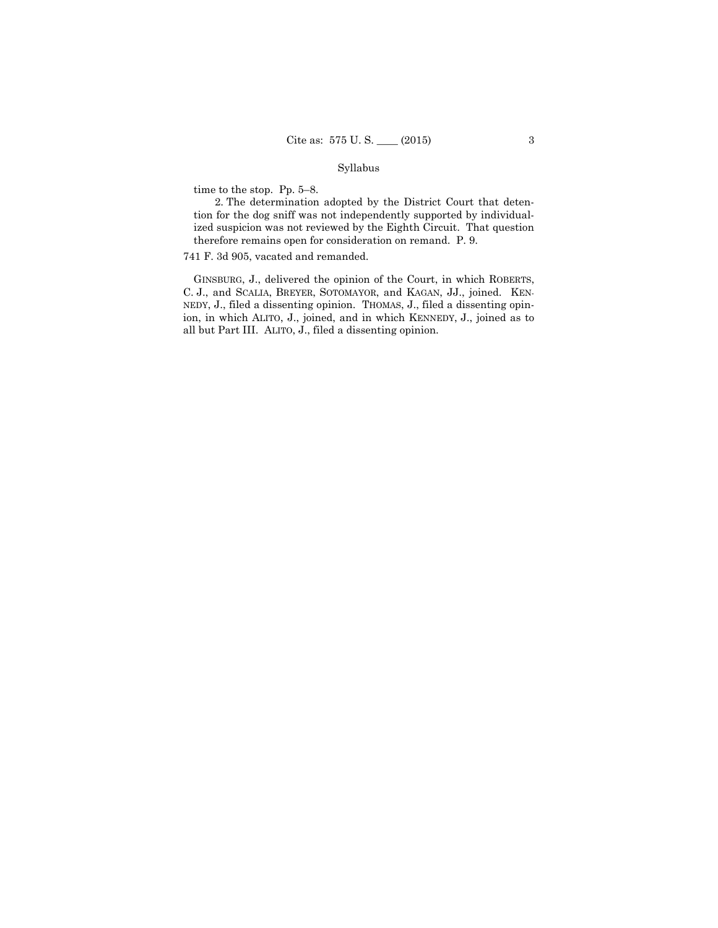### Syllabus

time to the stop. Pp. 5–8.

2. The determination adopted by the District Court that detention for the dog sniff was not independently supported by individualized suspicion was not reviewed by the Eighth Circuit. That question therefore remains open for consideration on remand. P. 9.

741 F. 3d 905, vacated and remanded.

GINSBURG, J., delivered the opinion of the Court, in which ROBERTS, C. J., and SCALIA, BREYER, SOTOMAYOR, and KAGAN, JJ., joined. KEN-NEDY, J., filed a dissenting opinion. THOMAS, J., filed a dissenting opinion, in which ALITO, J., joined, and in which KENNEDY, J., joined as to all but Part III. ALITO, J., filed a dissenting opinion.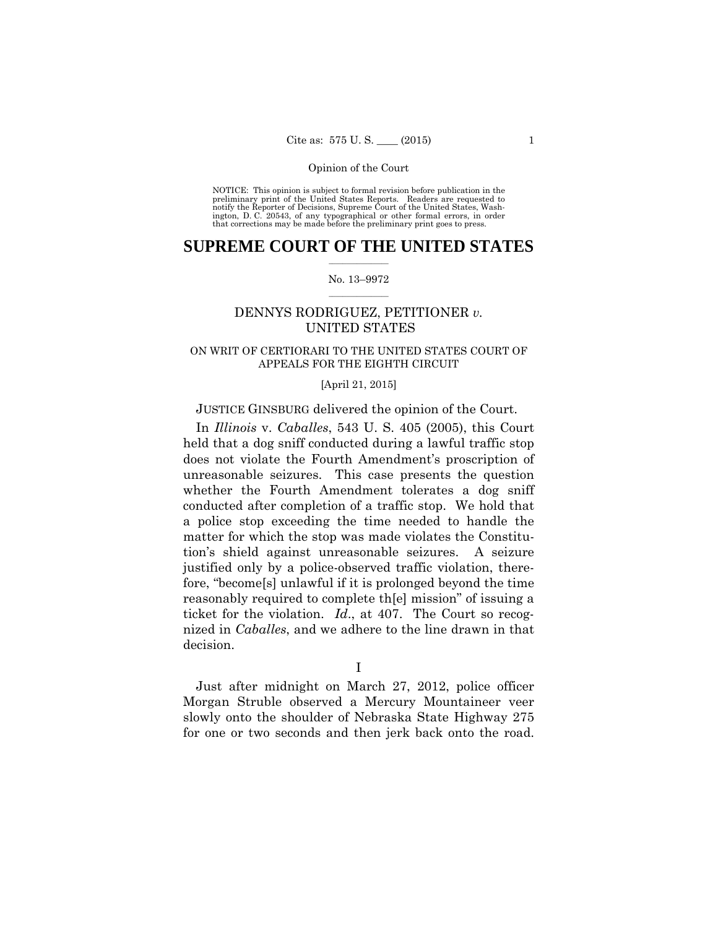preliminary print of the United States Reports. Readers are requested to notify the Reporter of Decisions, Supreme Court of the United States, Wash- ington, D. C. 20543, of any typographical or other formal errors, in order that corrections may be made before the preliminary print goes to press. NOTICE: This opinion is subject to formal revision before publication in the

### $\frac{1}{2}$  , where  $\frac{1}{2}$ **SUPREME COURT OF THE UNITED STATES**

#### $\frac{1}{2}$  ,  $\frac{1}{2}$  ,  $\frac{1}{2}$  ,  $\frac{1}{2}$  ,  $\frac{1}{2}$  ,  $\frac{1}{2}$ No. 13–9972

## DENNYS RODRIGUEZ, PETITIONER *v.* UNITED STATES

## ON WRIT OF CERTIORARI TO THE UNITED STATES COURT OF APPEALS FOR THE EIGHTH CIRCUIT

#### [April 21, 2015]

### JUSTICE GINSBURG delivered the opinion of the Court.

In *Illinois* v. *Caballes*, 543 U. S. 405 (2005), this Court held that a dog sniff conducted during a lawful traffic stop does not violate the Fourth Amendment's proscription of unreasonable seizures. This case presents the question whether the Fourth Amendment tolerates a dog sniff conducted after completion of a traffic stop. We hold that a police stop exceeding the time needed to handle the matter for which the stop was made violates the Constitution's shield against unreasonable seizures. A seizure justified only by a police-observed traffic violation, therefore, "become[s] unlawful if it is prolonged beyond the time reasonably required to complete th[e] mission" of issuing a ticket for the violation. *Id*., at 407. The Court so recognized in *Caballes*, and we adhere to the line drawn in that decision.

I

Just after midnight on March 27, 2012, police officer Morgan Struble observed a Mercury Mountaineer veer slowly onto the shoulder of Nebraska State Highway 275 for one or two seconds and then jerk back onto the road.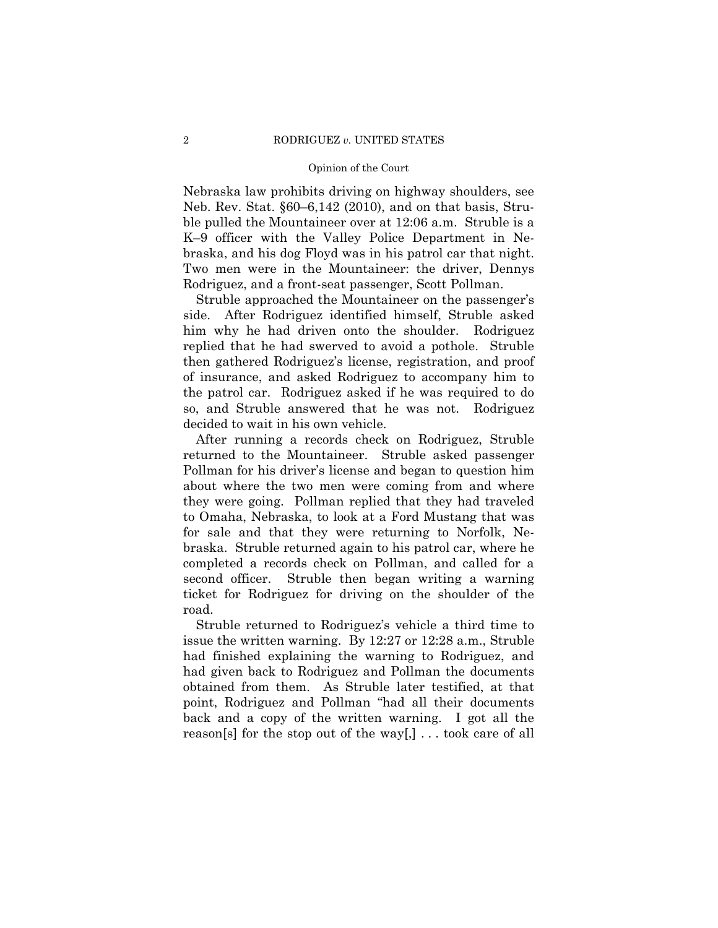Nebraska law prohibits driving on highway shoulders, see Neb. Rev. Stat. §60–6,142 (2010), and on that basis, Struble pulled the Mountaineer over at 12:06 a.m. Struble is a K–9 officer with the Valley Police Department in Nebraska, and his dog Floyd was in his patrol car that night. Two men were in the Mountaineer: the driver, Dennys Rodriguez, and a front-seat passenger, Scott Pollman.

Struble approached the Mountaineer on the passenger's side. After Rodriguez identified himself, Struble asked him why he had driven onto the shoulder. Rodriguez replied that he had swerved to avoid a pothole. Struble then gathered Rodriguez's license, registration, and proof of insurance, and asked Rodriguez to accompany him to the patrol car. Rodriguez asked if he was required to do so, and Struble answered that he was not. Rodriguez decided to wait in his own vehicle.

After running a records check on Rodriguez, Struble returned to the Mountaineer. Struble asked passenger Pollman for his driver's license and began to question him about where the two men were coming from and where they were going. Pollman replied that they had traveled to Omaha, Nebraska, to look at a Ford Mustang that was for sale and that they were returning to Norfolk, Nebraska. Struble returned again to his patrol car, where he completed a records check on Pollman, and called for a second officer. Struble then began writing a warning ticket for Rodriguez for driving on the shoulder of the road.

Struble returned to Rodriguez's vehicle a third time to issue the written warning. By 12:27 or 12:28 a.m., Struble had finished explaining the warning to Rodriguez, and had given back to Rodriguez and Pollman the documents obtained from them. As Struble later testified, at that point, Rodriguez and Pollman "had all their documents back and a copy of the written warning. I got all the reason[s] for the stop out of the way[,] . . . took care of all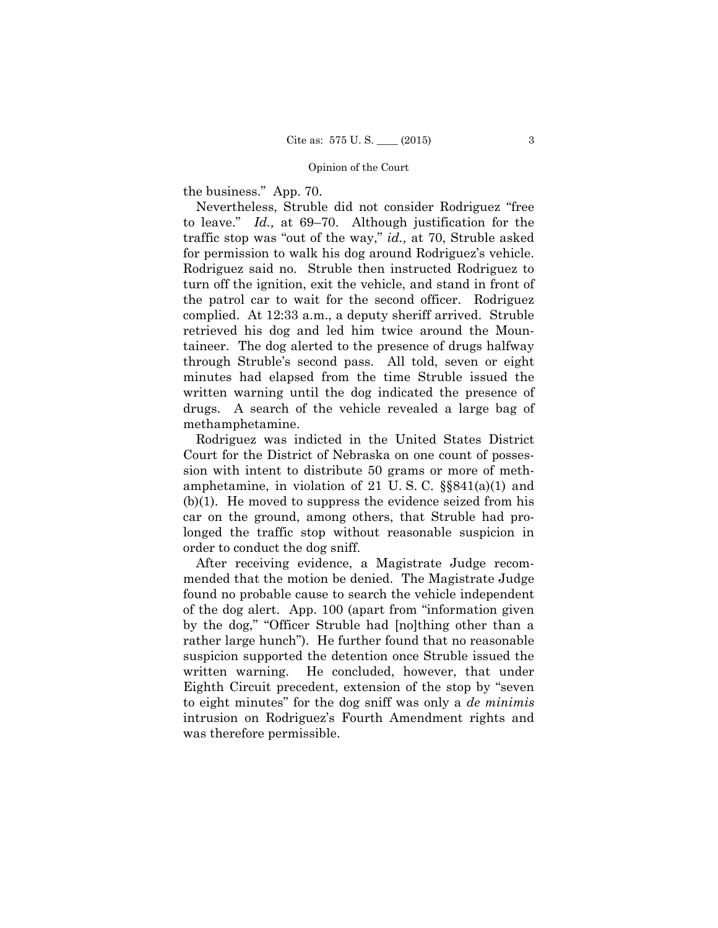the business." App. 70.

Nevertheless, Struble did not consider Rodriguez "free to leave." *Id.,* at 69–70. Although justification for the traffic stop was "out of the way," *id.,* at 70, Struble asked for permission to walk his dog around Rodriguez's vehicle. Rodriguez said no. Struble then instructed Rodriguez to turn off the ignition, exit the vehicle, and stand in front of the patrol car to wait for the second officer. Rodriguez complied. At 12:33 a.m., a deputy sheriff arrived. Struble retrieved his dog and led him twice around the Mountaineer. The dog alerted to the presence of drugs halfway through Struble's second pass. All told, seven or eight minutes had elapsed from the time Struble issued the written warning until the dog indicated the presence of drugs. A search of the vehicle revealed a large bag of methamphetamine.

Rodriguez was indicted in the United States District Court for the District of Nebraska on one count of possession with intent to distribute 50 grams or more of methamphetamine, in violation of 21 U. S. C. §§841(a)(1) and (b)(1). He moved to suppress the evidence seized from his car on the ground, among others, that Struble had prolonged the traffic stop without reasonable suspicion in order to conduct the dog sniff.

After receiving evidence, a Magistrate Judge recommended that the motion be denied. The Magistrate Judge found no probable cause to search the vehicle independent of the dog alert. App. 100 (apart from "information given by the dog," "Officer Struble had [no]thing other than a rather large hunch"). He further found that no reasonable suspicion supported the detention once Struble issued the written warning. He concluded, however, that under Eighth Circuit precedent, extension of the stop by "seven to eight minutes" for the dog sniff was only a *de minimis*  intrusion on Rodriguez's Fourth Amendment rights and was therefore permissible.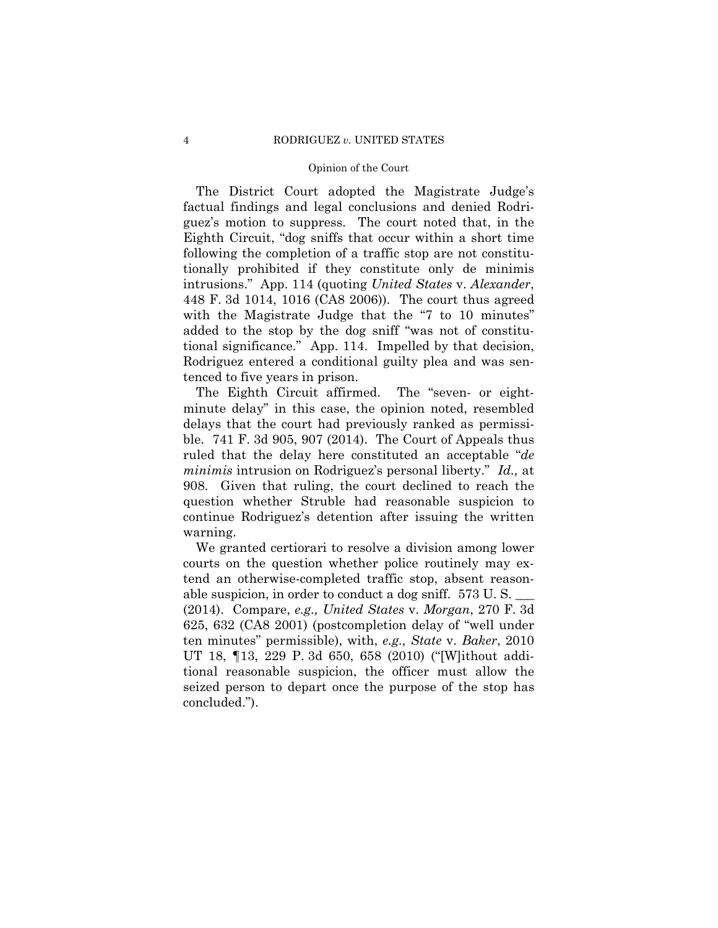The District Court adopted the Magistrate Judge's factual findings and legal conclusions and denied Rodriguez's motion to suppress. The court noted that, in the Eighth Circuit, "dog sniffs that occur within a short time following the completion of a traffic stop are not constitutionally prohibited if they constitute only de minimis intrusions." App. 114 (quoting *United States* v. *Alexander*, 448 F. 3d 1014, 1016 (CA8 2006)). The court thus agreed with the Magistrate Judge that the "7 to 10 minutes" added to the stop by the dog sniff "was not of constitutional significance." App. 114. Impelled by that decision, Rodriguez entered a conditional guilty plea and was sentenced to five years in prison.

The Eighth Circuit affirmed. The "seven- or eightminute delay" in this case, the opinion noted, resembled delays that the court had previously ranked as permissible. 741 F. 3d 905, 907 (2014). The Court of Appeals thus ruled that the delay here constituted an acceptable "*de minimis* intrusion on Rodriguez's personal liberty." *Id.,* at 908. Given that ruling, the court declined to reach the question whether Struble had reasonable suspicion to continue Rodriguez's detention after issuing the written warning.

We granted certiorari to resolve a division among lower courts on the question whether police routinely may extend an otherwise-completed traffic stop, absent reasonable suspicion, in order to conduct a dog sniff. 573 U.S.

(2014). Compare, *e.g., United States* v. *Morgan*, 270 F. 3d 625, 632 (CA8 2001) (postcompletion delay of "well under ten minutes" permissible), with, *e.g., State* v. *Baker*, 2010 UT 18, ¶13, 229 P. 3d 650, 658 (2010) ("[W]ithout additional reasonable suspicion, the officer must allow the seized person to depart once the purpose of the stop has concluded.").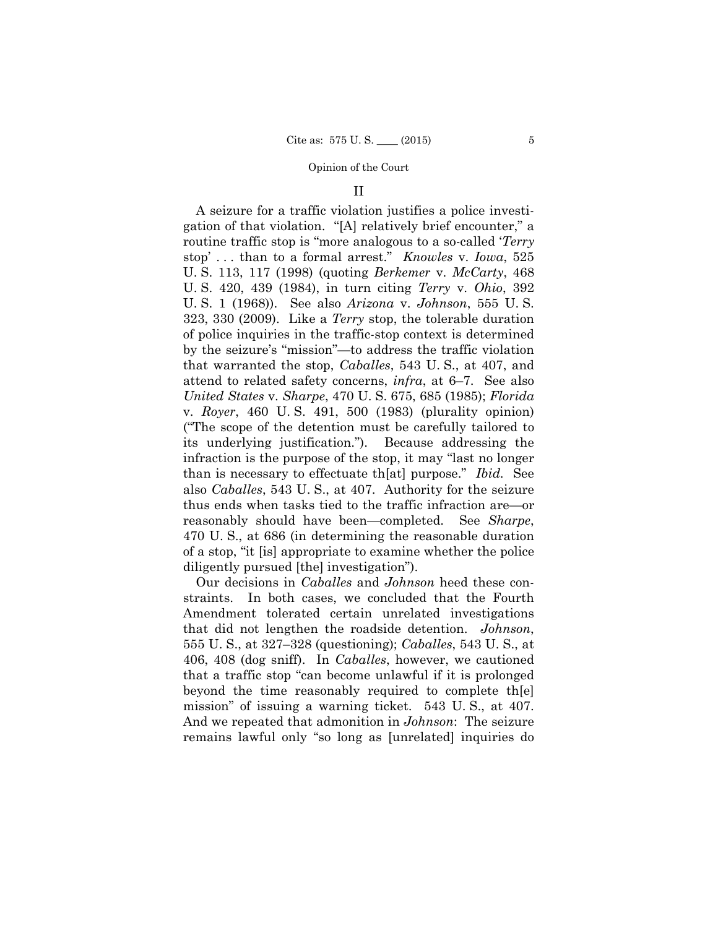### II

 than is necessary to effectuate th[at] purpose." *Ibid.* See A seizure for a traffic violation justifies a police investigation of that violation. "[A] relatively brief encounter," a routine traffic stop is "more analogous to a so-called '*Terry*  stop' . . . than to a formal arrest." *Knowles* v. *Iowa*, 525 U. S. 113, 117 (1998) (quoting *Berkemer* v. *McCarty*, 468 U. S. 420, 439 (1984), in turn citing *Terry* v. *Ohio*, 392 U. S. 1 (1968)). See also *Arizona* v. *Johnson*, 555 U. S. 323, 330 (2009). Like a *Terry* stop, the tolerable duration of police inquiries in the traffic-stop context is determined by the seizure's "mission"—to address the traffic violation that warranted the stop, *Caballes*, 543 U. S., at 407, and attend to related safety concerns, *infra*, at 6–7. See also *United States* v. *Sharpe*, 470 U. S. 675, 685 (1985); *Florida*  v. *Royer*, 460 U. S. 491, 500 (1983) (plurality opinion) ("The scope of the detention must be carefully tailored to its underlying justification."). Because addressing the infraction is the purpose of the stop, it may "last no longer also *Caballes*, 543 U. S., at 407. Authority for the seizure thus ends when tasks tied to the traffic infraction are—or reasonably should have been—completed. See *Sharpe*, 470 U. S., at 686 (in determining the reasonable duration of a stop, "it [is] appropriate to examine whether the police diligently pursued [the] investigation").

Our decisions in *Caballes* and *Johnson* heed these constraints. In both cases, we concluded that the Fourth Amendment tolerated certain unrelated investigations that did not lengthen the roadside detention. *Johnson*, 555 U. S., at 327–328 (questioning); *Caballes*, 543 U. S., at 406, 408 (dog sniff). In *Caballes*, however, we cautioned that a traffic stop "can become unlawful if it is prolonged beyond the time reasonably required to complete th[e] mission" of issuing a warning ticket. 543 U. S., at 407. And we repeated that admonition in *Johnson*: The seizure remains lawful only "so long as [unrelated] inquiries do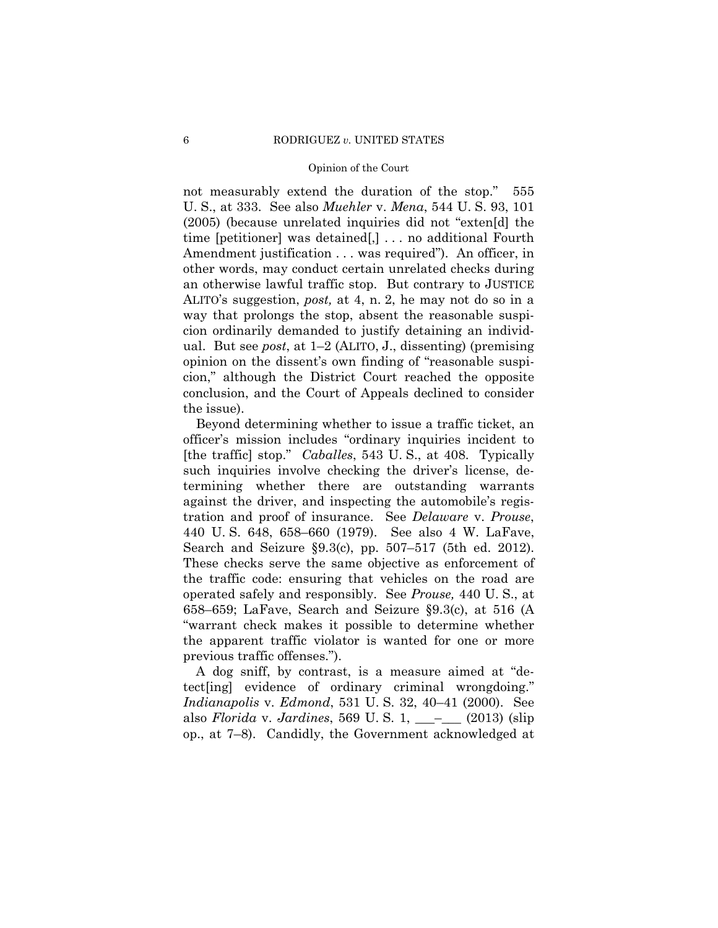not measurably extend the duration of the stop." 555 U. S., at 333. See also *Muehler* v. *Mena*, 544 U. S. 93, 101 (2005) (because unrelated inquiries did not "exten[d] the time [petitioner] was detained[,] . . . no additional Fourth Amendment justification . . . was required"). An officer, in other words, may conduct certain unrelated checks during an otherwise lawful traffic stop. But contrary to JUSTICE ALITO's suggestion, *post,* at 4, n. 2, he may not do so in a way that prolongs the stop, absent the reasonable suspicion ordinarily demanded to justify detaining an individual. But see *post*, at 1–2 (ALITO, J., dissenting) (premising opinion on the dissent's own finding of "reasonable suspicion," although the District Court reached the opposite conclusion, and the Court of Appeals declined to consider the issue).

Beyond determining whether to issue a traffic ticket, an officer's mission includes "ordinary inquiries incident to [the traffic] stop." *Caballes*, 543 U. S., at 408. Typically such inquiries involve checking the driver's license, determining whether there are outstanding warrants against the driver, and inspecting the automobile's registration and proof of insurance. See *Delaware* v. *Prouse*, 440 U. S. 648, 658–660 (1979). See also 4 W. LaFave, Search and Seizure §9.3(c), pp. 507–517 (5th ed. 2012). These checks serve the same objective as enforcement of the traffic code: ensuring that vehicles on the road are operated safely and responsibly. See *Prouse,* 440 U. S., at 658–659; LaFave, Search and Seizure §9.3(c), at 516 (A "warrant check makes it possible to determine whether the apparent traffic violator is wanted for one or more previous traffic offenses.").

A dog sniff, by contrast, is a measure aimed at "detect[ing] evidence of ordinary criminal wrongdoing." *Indianapolis* v. *Edmond*, 531 U. S. 32, 40–41 (2000). See also *Florida* v. *Jardines*, 569 U. S. 1, \_\_\_–\_\_\_ (2013) (slip op., at 7–8). Candidly, the Government acknowledged at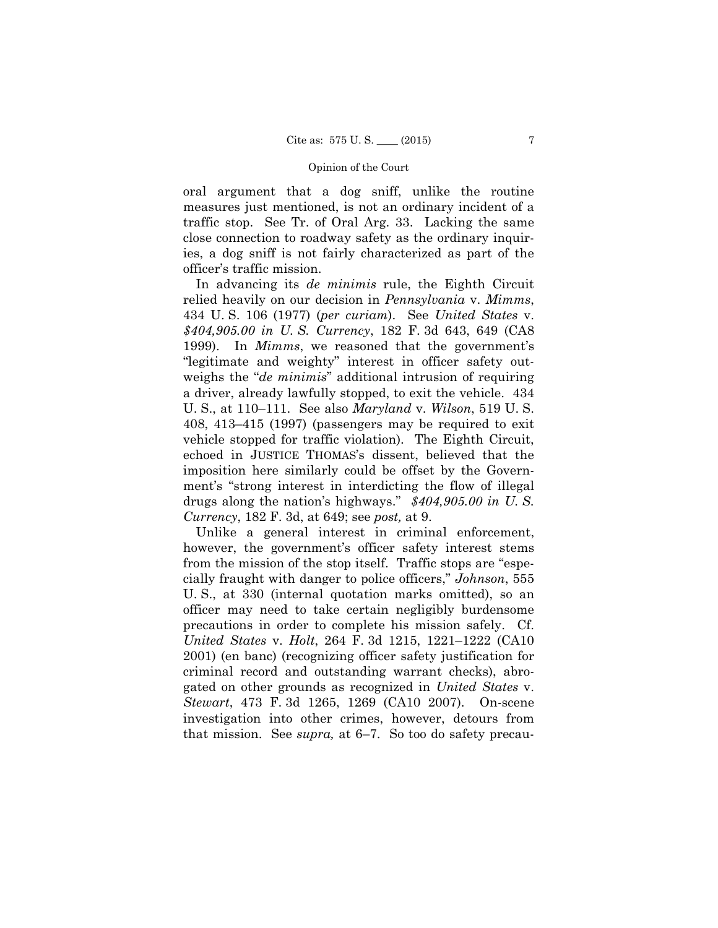oral argument that a dog sniff, unlike the routine measures just mentioned, is not an ordinary incident of a traffic stop. See Tr. of Oral Arg. 33. Lacking the same close connection to roadway safety as the ordinary inquiries, a dog sniff is not fairly characterized as part of the officer's traffic mission.

1999). In *Mimms*, we reasoned that the government's In advancing its *de minimis* rule, the Eighth Circuit relied heavily on our decision in *Pennsylvania* v. *Mimms*, 434 U. S. 106 (1977) (*per curiam*). See *United States* v. *\$404,905.00 in U. S. Currency*, 182 F. 3d 643, 649 (CA8 "legitimate and weighty" interest in officer safety outweighs the "*de minimis*" additional intrusion of requiring a driver, already lawfully stopped, to exit the vehicle. 434 U. S., at 110–111. See also *Maryland* v. *Wilson*, 519 U. S. 408, 413–415 (1997) (passengers may be required to exit vehicle stopped for traffic violation). The Eighth Circuit, echoed in JUSTICE THOMAS's dissent, believed that the imposition here similarly could be offset by the Government's "strong interest in interdicting the flow of illegal drugs along the nation's highways." *\$404,905.00 in U. S. Currency*, 182 F. 3d, at 649; see *post,* at 9.

 *Stewart*, 473 F. 3d 1265, 1269 (CA10 2007). On-scene Unlike a general interest in criminal enforcement, however, the government's officer safety interest stems from the mission of the stop itself. Traffic stops are "especially fraught with danger to police officers," *Johnson*, 555 U. S., at 330 (internal quotation marks omitted), so an officer may need to take certain negligibly burdensome precautions in order to complete his mission safely. Cf. *United States* v. *Holt*, 264 F. 3d 1215, 1221–1222 (CA10 2001) (en banc) (recognizing officer safety justification for criminal record and outstanding warrant checks), abrogated on other grounds as recognized in *United States* v. investigation into other crimes, however, detours from that mission. See *supra,* at 6–7. So too do safety precau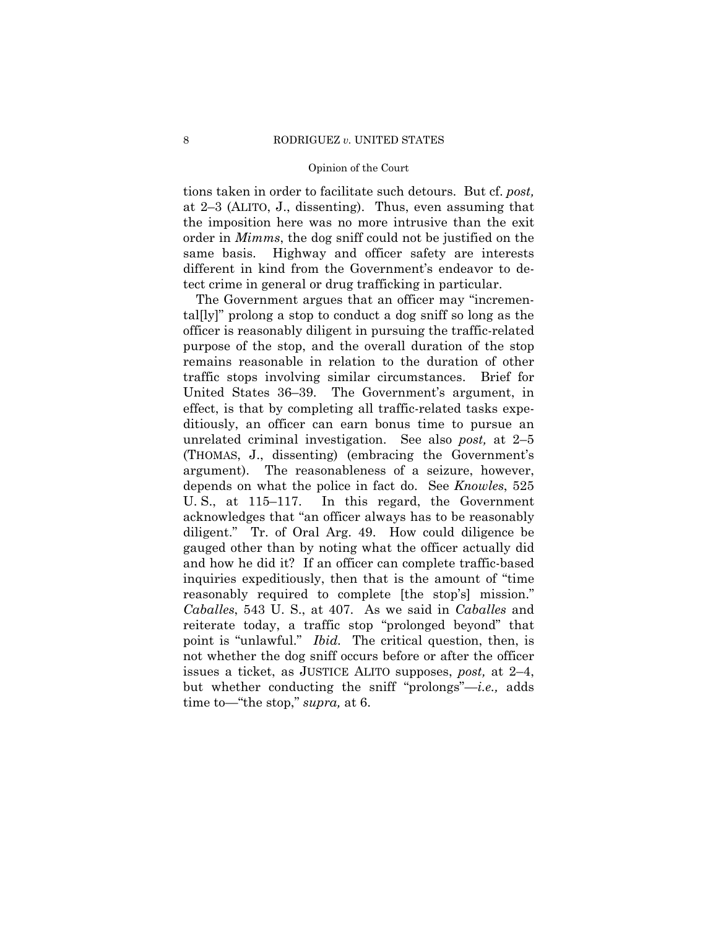tions taken in order to facilitate such detours. But cf. *post,* at 2–3 (ALITO, J., dissenting). Thus, even assuming that the imposition here was no more intrusive than the exit order in *Mimms*, the dog sniff could not be justified on the same basis. Highway and officer safety are interests different in kind from the Government's endeavor to detect crime in general or drug trafficking in particular.

 (THOMAS, J., dissenting) (embracing the Government's The Government argues that an officer may "incremental[ly]" prolong a stop to conduct a dog sniff so long as the officer is reasonably diligent in pursuing the traffic-related purpose of the stop, and the overall duration of the stop remains reasonable in relation to the duration of other traffic stops involving similar circumstances. Brief for United States 36–39. The Government's argument, in effect, is that by completing all traffic-related tasks expeditiously, an officer can earn bonus time to pursue an unrelated criminal investigation. See also *post,* at 2–5 argument). The reasonableness of a seizure, however, depends on what the police in fact do. See *Knowles*, 525 U. S., at 115–117. In this regard, the Government acknowledges that "an officer always has to be reasonably diligent." Tr. of Oral Arg. 49. How could diligence be gauged other than by noting what the officer actually did and how he did it? If an officer can complete traffic-based inquiries expeditiously, then that is the amount of "time reasonably required to complete [the stop's] mission." *Caballes*, 543 U. S., at 407. As we said in *Caballes* and reiterate today, a traffic stop "prolonged beyond" that point is "unlawful." *Ibid.* The critical question, then, is not whether the dog sniff occurs before or after the officer issues a ticket, as JUSTICE ALITO supposes, *post,* at 2–4, but whether conducting the sniff "prolongs"—*i.e.,* adds time to—"the stop," *supra,* at 6.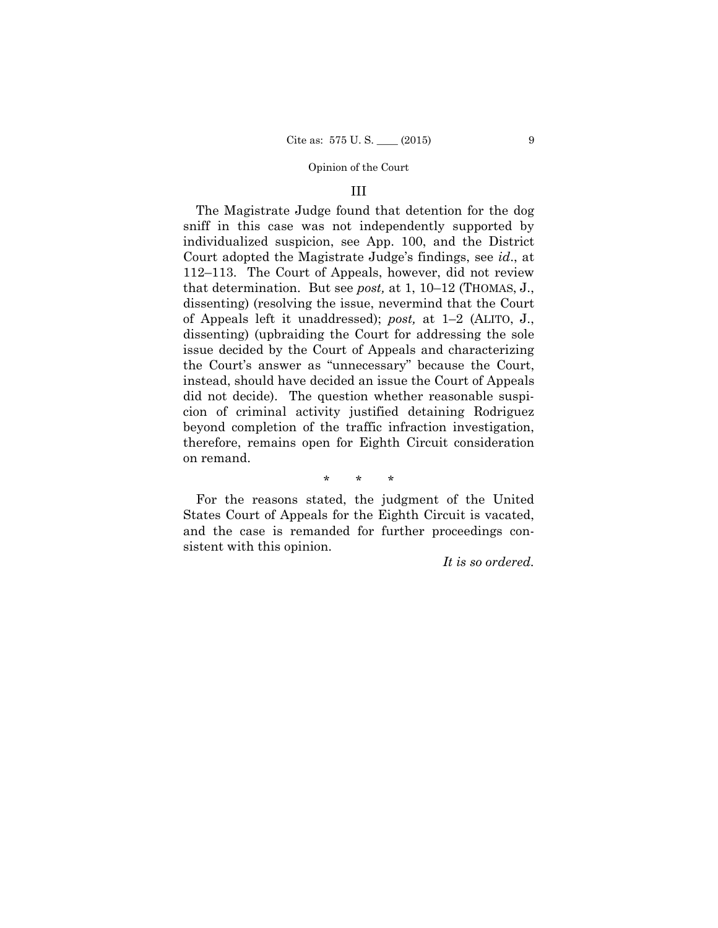### III

 that determination. But see *post,* at 1, 10–12 (THOMAS, J., of Appeals left it unaddressed); *post,* at 1–2 (ALITO, J., The Magistrate Judge found that detention for the dog sniff in this case was not independently supported by individualized suspicion, see App. 100, and the District Court adopted the Magistrate Judge's findings, see *id*., at 112–113. The Court of Appeals, however, did not review dissenting) (resolving the issue, nevermind that the Court dissenting) (upbraiding the Court for addressing the sole issue decided by the Court of Appeals and characterizing the Court's answer as "unnecessary" because the Court, instead, should have decided an issue the Court of Appeals did not decide). The question whether reasonable suspicion of criminal activity justified detaining Rodriguez beyond completion of the traffic infraction investigation, therefore, remains open for Eighth Circuit consideration on remand.

\* \* \*

For the reasons stated, the judgment of the United States Court of Appeals for the Eighth Circuit is vacated, and the case is remanded for further proceedings consistent with this opinion.

*It is so ordered.*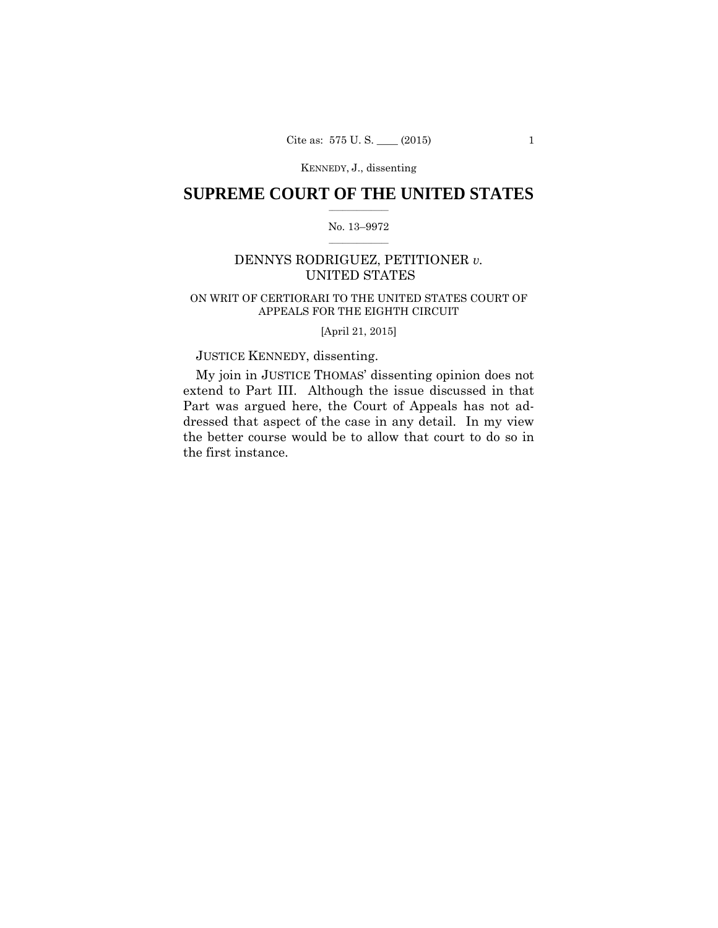KENNEDY, J., dissenting

## $\frac{1}{2}$  , where  $\frac{1}{2}$ **SUPREME COURT OF THE UNITED STATES**

### $\frac{1}{2}$  ,  $\frac{1}{2}$  ,  $\frac{1}{2}$  ,  $\frac{1}{2}$  ,  $\frac{1}{2}$  ,  $\frac{1}{2}$ No. 13–9972

## DENNYS RODRIGUEZ, PETITIONER *v.* UNITED STATES

## ON WRIT OF CERTIORARI TO THE UNITED STATES COURT OF APPEALS FOR THE EIGHTH CIRCUIT

[April 21, 2015]

## JUSTICE KENNEDY, dissenting.

My join in JUSTICE THOMAS' dissenting opinion does not extend to Part III. Although the issue discussed in that Part was argued here, the Court of Appeals has not addressed that aspect of the case in any detail. In my view the better course would be to allow that court to do so in the first instance.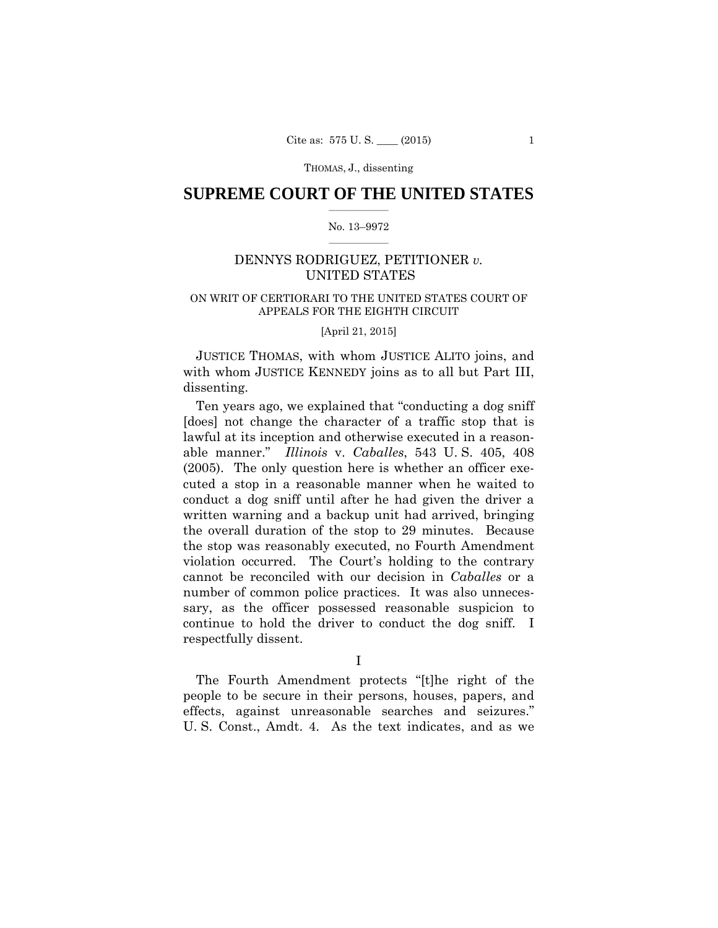### $\frac{1}{2}$  , where  $\frac{1}{2}$ **SUPREME COURT OF THE UNITED STATES**

#### $\frac{1}{2}$  ,  $\frac{1}{2}$  ,  $\frac{1}{2}$  ,  $\frac{1}{2}$  ,  $\frac{1}{2}$  ,  $\frac{1}{2}$ No. 13–9972

## DENNYS RODRIGUEZ, PETITIONER *v.* UNITED STATES

## ON WRIT OF CERTIORARI TO THE UNITED STATES COURT OF APPEALS FOR THE EIGHTH CIRCUIT

#### [April 21, 2015]

JUSTICE THOMAS, with whom JUSTICE ALITO joins, and with whom JUSTICE KENNEDY joins as to all but Part III, dissenting.

Ten years ago, we explained that "conducting a dog sniff [does] not change the character of a traffic stop that is lawful at its inception and otherwise executed in a reasonable manner." *Illinois* v. *Caballes*, 543 U. S. 405, 408 (2005). The only question here is whether an officer executed a stop in a reasonable manner when he waited to conduct a dog sniff until after he had given the driver a written warning and a backup unit had arrived, bringing the overall duration of the stop to 29 minutes. Because the stop was reasonably executed, no Fourth Amendment violation occurred. The Court's holding to the contrary cannot be reconciled with our decision in *Caballes* or a number of common police practices. It was also unnecessary, as the officer possessed reasonable suspicion to continue to hold the driver to conduct the dog sniff. I respectfully dissent.

I

The Fourth Amendment protects "[t]he right of the people to be secure in their persons, houses, papers, and effects, against unreasonable searches and seizures." U. S. Const., Amdt. 4. As the text indicates, and as we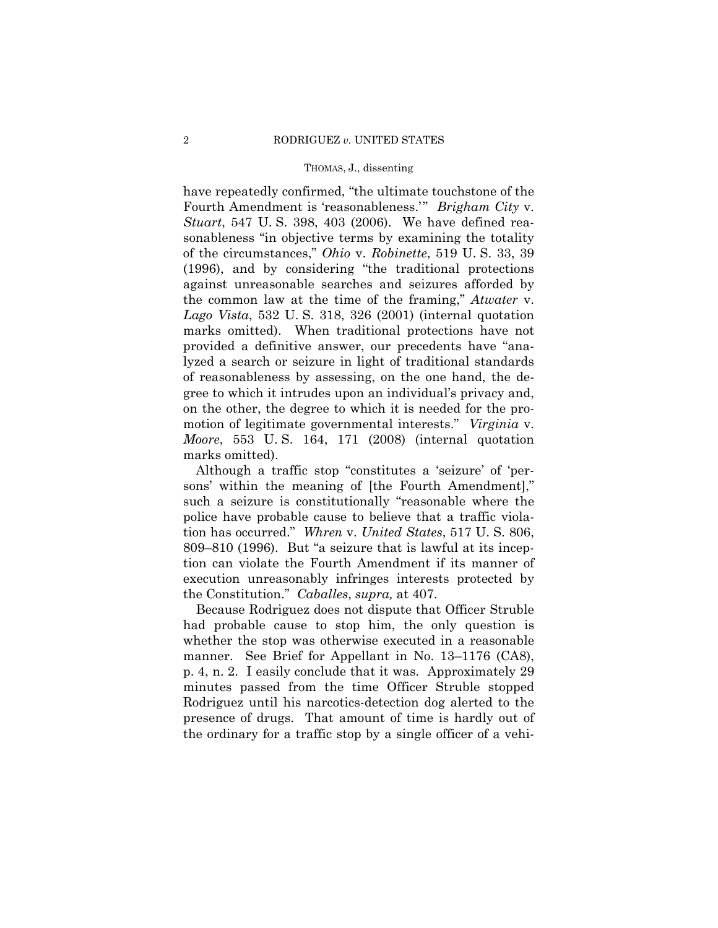have repeatedly confirmed, "the ultimate touchstone of the Fourth Amendment is 'reasonableness.'" *Brigham City* v. *Stuart*, 547 U. S. 398, 403 (2006). We have defined reasonableness "in objective terms by examining the totality of the circumstances," *Ohio* v. *Robinette*, 519 U. S. 33, 39 (1996), and by considering "the traditional protections against unreasonable searches and seizures afforded by the common law at the time of the framing," *Atwater* v. *Lago Vista*, 532 U. S. 318, 326 (2001) (internal quotation marks omitted). When traditional protections have not provided a definitive answer, our precedents have "analyzed a search or seizure in light of traditional standards of reasonableness by assessing, on the one hand, the degree to which it intrudes upon an individual's privacy and, on the other, the degree to which it is needed for the promotion of legitimate governmental interests." *Virginia* v. *Moore*, 553 U. S. 164, 171 (2008) (internal quotation marks omitted).

Although a traffic stop "constitutes a 'seizure' of 'persons' within the meaning of [the Fourth Amendment]," such a seizure is constitutionally "reasonable where the police have probable cause to believe that a traffic violation has occurred." *Whren* v. *United States*, 517 U. S. 806, 809–810 (1996). But "a seizure that is lawful at its inception can violate the Fourth Amendment if its manner of execution unreasonably infringes interests protected by the Constitution." *Caballes*, *supra,* at 407.

Because Rodriguez does not dispute that Officer Struble had probable cause to stop him, the only question is whether the stop was otherwise executed in a reasonable manner. See Brief for Appellant in No. 13–1176 (CA8), p. 4, n. 2. I easily conclude that it was. Approximately 29 minutes passed from the time Officer Struble stopped Rodriguez until his narcotics-detection dog alerted to the presence of drugs. That amount of time is hardly out of the ordinary for a traffic stop by a single officer of a vehi-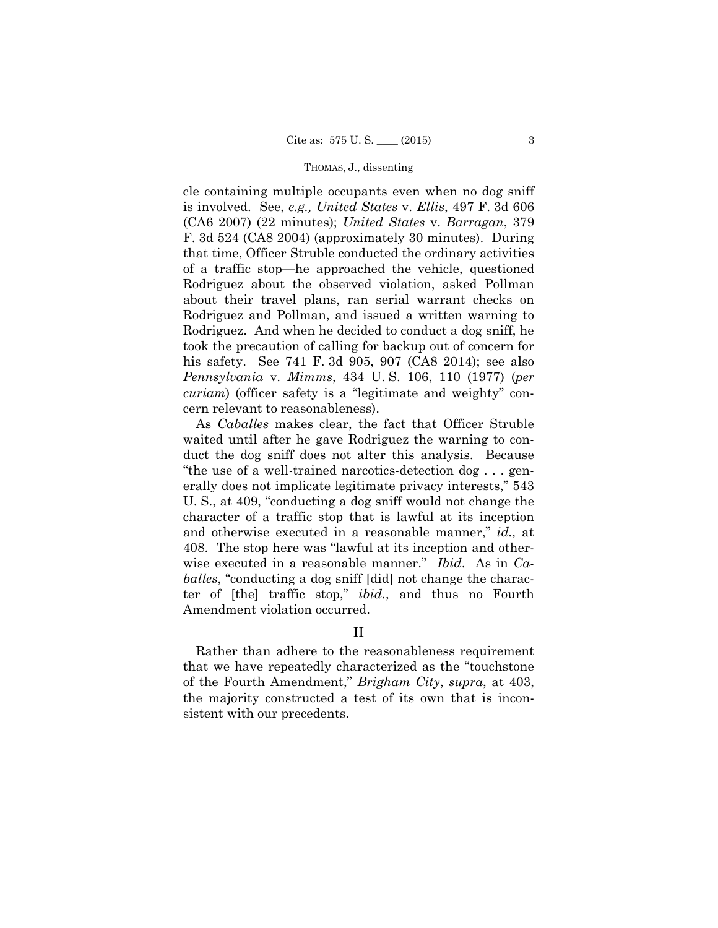cle containing multiple occupants even when no dog sniff is involved. See, *e.g., United States* v. *Ellis*, 497 F. 3d 606 (CA6 2007) (22 minutes); *United States* v. *Barragan*, 379 F. 3d 524 (CA8 2004) (approximately 30 minutes). During that time, Officer Struble conducted the ordinary activities of a traffic stop—he approached the vehicle, questioned Rodriguez about the observed violation, asked Pollman about their travel plans, ran serial warrant checks on Rodriguez and Pollman, and issued a written warning to Rodriguez. And when he decided to conduct a dog sniff, he took the precaution of calling for backup out of concern for his safety. See 741 F. 3d 905, 907 (CA8 2014); see also *Pennsylvania* v. *Mimms*, 434 U. S. 106, 110 (1977) (*per curiam*) (officer safety is a "legitimate and weighty" concern relevant to reasonableness).

As *Caballes* makes clear, the fact that Officer Struble waited until after he gave Rodriguez the warning to conduct the dog sniff does not alter this analysis. Because "the use of a well-trained narcotics-detection dog . . . generally does not implicate legitimate privacy interests," 543 U. S., at 409, "conducting a dog sniff would not change the character of a traffic stop that is lawful at its inception and otherwise executed in a reasonable manner," *id.,* at 408. The stop here was "lawful at its inception and otherwise executed in a reasonable manner." *Ibid*. As in *Caballes*, "conducting a dog sniff [did] not change the character of [the] traffic stop," *ibid.*, and thus no Fourth Amendment violation occurred.

## II

Rather than adhere to the reasonableness requirement that we have repeatedly characterized as the "touchstone of the Fourth Amendment," *Brigham City*, *supra*, at 403, the majority constructed a test of its own that is inconsistent with our precedents.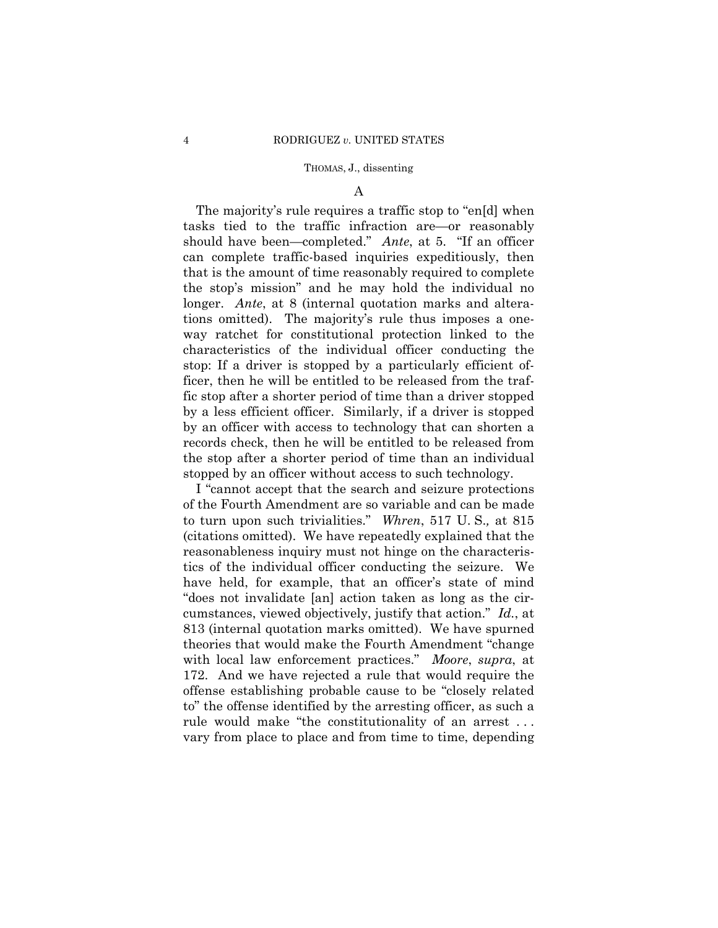A

The majority's rule requires a traffic stop to "en[d] when tasks tied to the traffic infraction are—or reasonably should have been—completed." *Ante*, at 5. "If an officer can complete traffic-based inquiries expeditiously, then that is the amount of time reasonably required to complete the stop's mission" and he may hold the individual no longer. *Ante*, at 8 (internal quotation marks and alterations omitted). The majority's rule thus imposes a oneway ratchet for constitutional protection linked to the characteristics of the individual officer conducting the stop: If a driver is stopped by a particularly efficient officer, then he will be entitled to be released from the traffic stop after a shorter period of time than a driver stopped by a less efficient officer. Similarly, if a driver is stopped by an officer with access to technology that can shorten a records check, then he will be entitled to be released from the stop after a shorter period of time than an individual stopped by an officer without access to such technology.

I "cannot accept that the search and seizure protections of the Fourth Amendment are so variable and can be made to turn upon such trivialities." *Whren*, 517 U. S.*,* at 815 (citations omitted). We have repeatedly explained that the reasonableness inquiry must not hinge on the characteristics of the individual officer conducting the seizure. We have held, for example, that an officer's state of mind "does not invalidate [an] action taken as long as the circumstances, viewed objectively, justify that action." *Id.*, at 813 (internal quotation marks omitted). We have spurned theories that would make the Fourth Amendment "change with local law enforcement practices." *Moore*, *supra*, at 172. And we have rejected a rule that would require the offense establishing probable cause to be "closely related to" the offense identified by the arresting officer, as such a rule would make "the constitutionality of an arrest . . . vary from place to place and from time to time, depending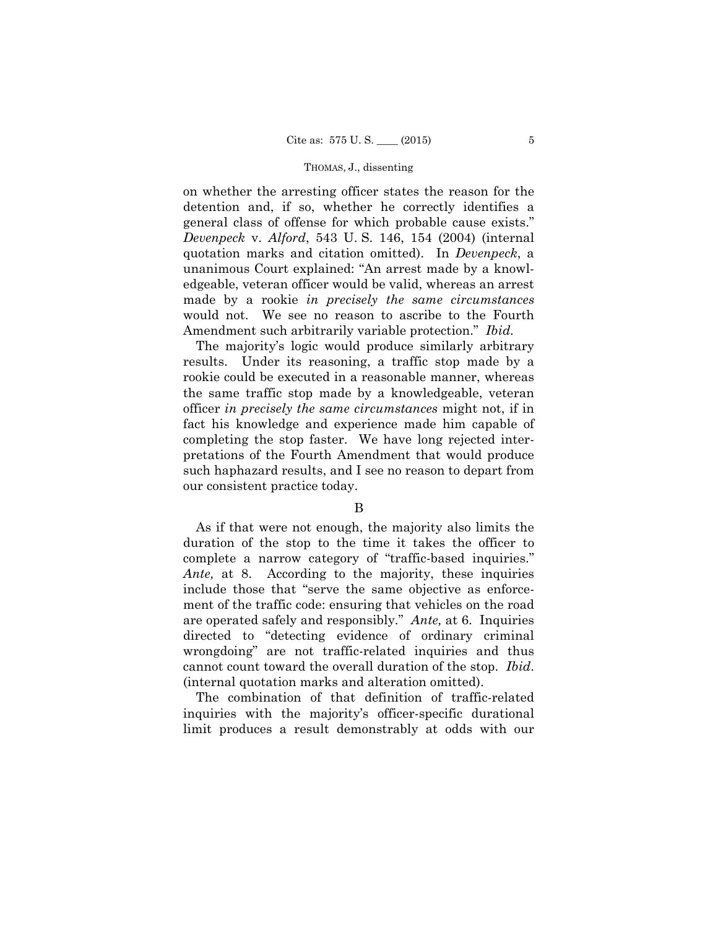on whether the arresting officer states the reason for the detention and, if so, whether he correctly identifies a general class of offense for which probable cause exists." *Devenpeck* v. *Alford*, 543 U. S. 146, 154 (2004) (internal quotation marks and citation omitted). In *Devenpeck*, a unanimous Court explained: "An arrest made by a knowledgeable, veteran officer would be valid, whereas an arrest made by a rookie *in precisely the same circumstances*  would not. We see no reason to ascribe to the Fourth Amendment such arbitrarily variable protection." *Ibid.* 

The majority's logic would produce similarly arbitrary results. Under its reasoning, a traffic stop made by a rookie could be executed in a reasonable manner, whereas the same traffic stop made by a knowledgeable, veteran officer *in precisely the same circumstances* might not, if in fact his knowledge and experience made him capable of completing the stop faster. We have long rejected interpretations of the Fourth Amendment that would produce such haphazard results, and I see no reason to depart from our consistent practice today.

As if that were not enough, the majority also limits the duration of the stop to the time it takes the officer to complete a narrow category of "traffic-based inquiries." *Ante*, at 8. According to the majority, these inquiries include those that "serve the same objective as enforcement of the traffic code: ensuring that vehicles on the road are operated safely and responsibly." *Ante,* at 6. Inquiries directed to "detecting evidence of ordinary criminal wrongdoing" are not traffic-related inquiries and thus cannot count toward the overall duration of the stop. *Ibid*. (internal quotation marks and alteration omitted).

The combination of that definition of traffic-related inquiries with the majority's officer-specific durational limit produces a result demonstrably at odds with our

B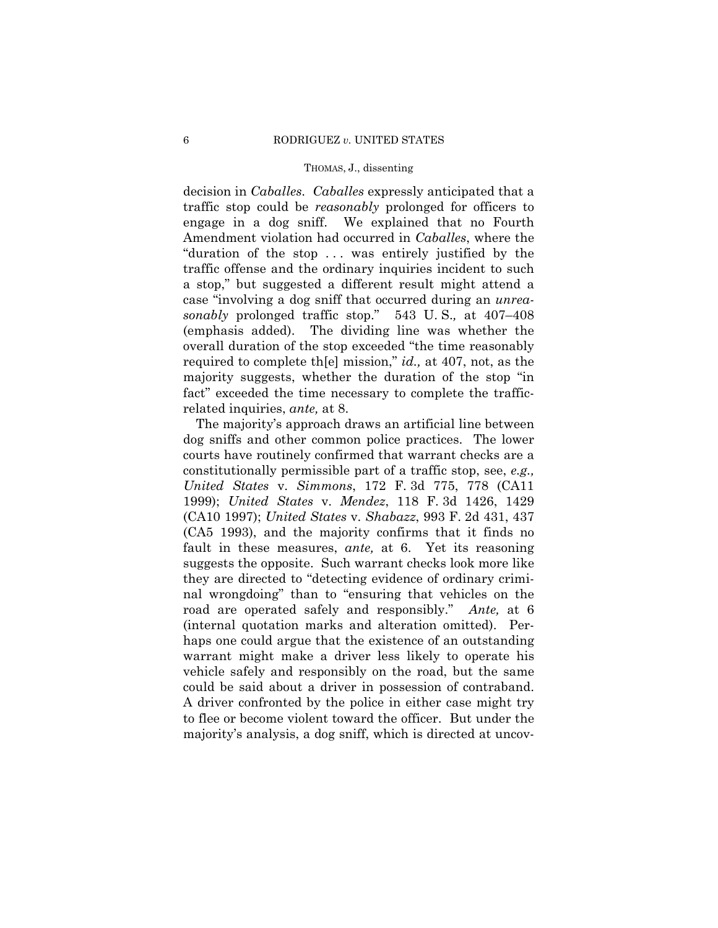decision in *Caballes*. *Caballes* expressly anticipated that a traffic stop could be *reasonably* prolonged for officers to engage in a dog sniff. We explained that no Fourth Amendment violation had occurred in *Caballes*, where the "duration of the stop . . . was entirely justified by the traffic offense and the ordinary inquiries incident to such a stop," but suggested a different result might attend a case "involving a dog sniff that occurred during an *unreasonably* prolonged traffic stop." 543 U. S.*,* at 407–408 (emphasis added). The dividing line was whether the overall duration of the stop exceeded "the time reasonably required to complete th[e] mission," *id.,* at 407, not, as the majority suggests, whether the duration of the stop "in fact" exceeded the time necessary to complete the trafficrelated inquiries, *ante,* at 8.

The majority's approach draws an artificial line between dog sniffs and other common police practices. The lower courts have routinely confirmed that warrant checks are a constitutionally permissible part of a traffic stop, see, *e.g., United States* v. *Simmons*, 172 F. 3d 775, 778 (CA11 1999); *United States* v. *Mendez*, 118 F. 3d 1426, 1429 (CA10 1997); *United States* v. *Shabazz*, 993 F. 2d 431, 437 (CA5 1993), and the majority confirms that it finds no fault in these measures, *ante,* at 6. Yet its reasoning suggests the opposite. Such warrant checks look more like they are directed to "detecting evidence of ordinary criminal wrongdoing" than to "ensuring that vehicles on the road are operated safely and responsibly." *Ante,* at 6 (internal quotation marks and alteration omitted). Perhaps one could argue that the existence of an outstanding warrant might make a driver less likely to operate his vehicle safely and responsibly on the road, but the same could be said about a driver in possession of contraband. A driver confronted by the police in either case might try to flee or become violent toward the officer. But under the majority's analysis, a dog sniff, which is directed at uncov-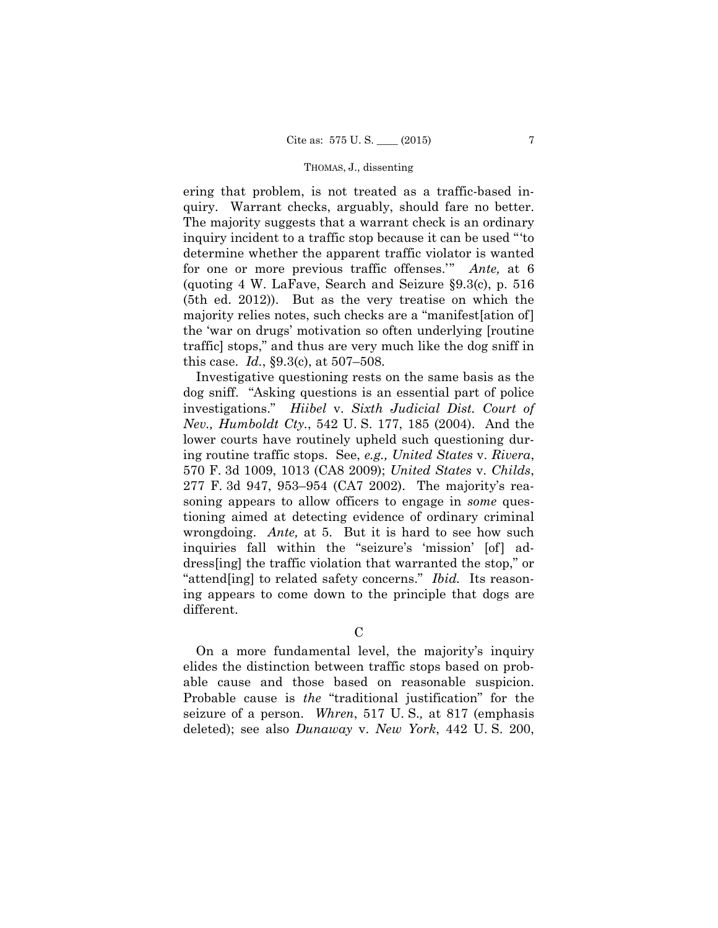ering that problem, is not treated as a traffic-based inquiry. Warrant checks, arguably, should fare no better. The majority suggests that a warrant check is an ordinary inquiry incident to a traffic stop because it can be used "'to determine whether the apparent traffic violator is wanted for one or more previous traffic offenses.'" *Ante,* at 6 (quoting 4 W. LaFave, Search and Seizure §9.3(c), p. 516 (5th ed. 2012)). But as the very treatise on which the majority relies notes, such checks are a "manifest[ation of] the 'war on drugs' motivation so often underlying [routine traffic] stops," and thus are very much like the dog sniff in this case. *Id.*, §9.3(c), at 507–508.

Investigative questioning rests on the same basis as the dog sniff. "Asking questions is an essential part of police investigations." *Hiibel* v. *Sixth Judicial Dist. Court of Nev., Humboldt Cty.*, 542 U. S. 177, 185 (2004). And the lower courts have routinely upheld such questioning during routine traffic stops. See, *e.g., United States* v. *Rivera*, 570 F. 3d 1009, 1013 (CA8 2009); *United States* v. *Childs*, 277 F. 3d 947, 953–954 (CA7 2002). The majority's reasoning appears to allow officers to engage in *some* questioning aimed at detecting evidence of ordinary criminal wrongdoing. *Ante,* at 5. But it is hard to see how such inquiries fall within the "seizure's 'mission' [of] address[ing] the traffic violation that warranted the stop," or "attend[ing] to related safety concerns." *Ibid.* Its reasoning appears to come down to the principle that dogs are different.

C

On a more fundamental level, the majority's inquiry elides the distinction between traffic stops based on probable cause and those based on reasonable suspicion. Probable cause is *the* "traditional justification" for the seizure of a person. *Whren*, 517 U. S.*,* at 817 (emphasis deleted); see also *Dunaway* v. *New York*, 442 U. S. 200,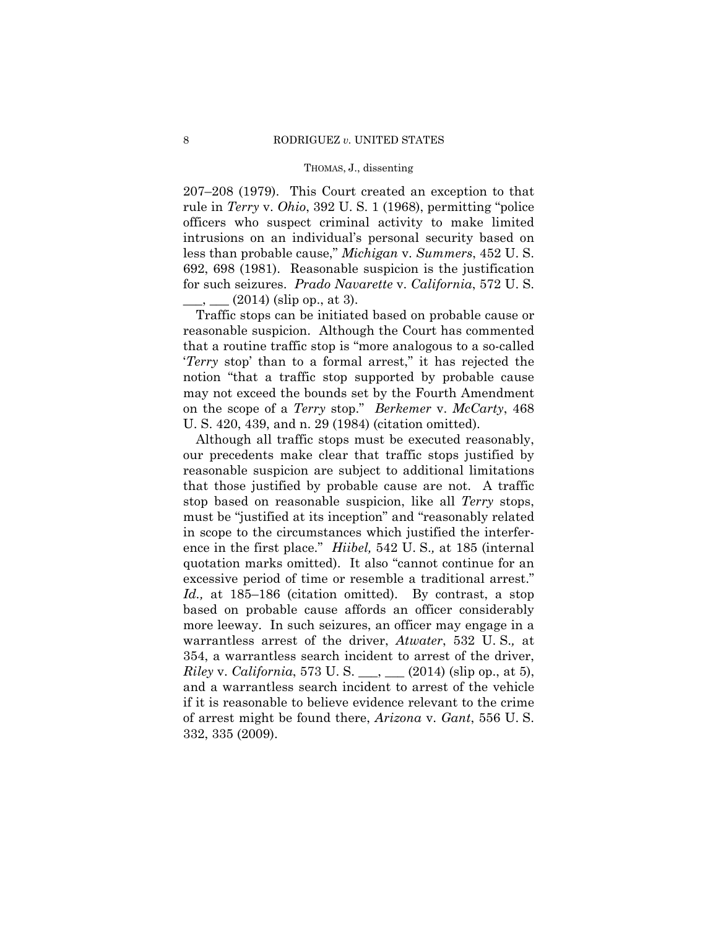207–208 (1979). This Court created an exception to that rule in *Terry* v. *Ohio*, 392 U. S. 1 (1968), permitting "police officers who suspect criminal activity to make limited intrusions on an individual's personal security based on less than probable cause," *Michigan* v. *Summers*, 452 U. S. 692, 698 (1981). Reasonable suspicion is the justification for such seizures. *Prado Navarette* v. *California*, 572 U. S.  $\_, \_\_(2014)$  (slip op., at 3).

Traffic stops can be initiated based on probable cause or reasonable suspicion. Although the Court has commented that a routine traffic stop is "more analogous to a so-called '*Terry* stop' than to a formal arrest," it has rejected the notion "that a traffic stop supported by probable cause may not exceed the bounds set by the Fourth Amendment on the scope of a *Terry* stop." *Berkemer* v. *McCarty*, 468 U. S. 420, 439, and n. 29 (1984) (citation omitted).

 ence in the first place." *Hiibel,* 542 U. S.*,* at 185 (internal Although all traffic stops must be executed reasonably, our precedents make clear that traffic stops justified by reasonable suspicion are subject to additional limitations that those justified by probable cause are not. A traffic stop based on reasonable suspicion, like all *Terry* stops, must be "justified at its inception" and "reasonably related in scope to the circumstances which justified the interferquotation marks omitted). It also "cannot continue for an excessive period of time or resemble a traditional arrest." *Id.,* at 185–186 (citation omitted). By contrast, a stop based on probable cause affords an officer considerably more leeway. In such seizures, an officer may engage in a warrantless arrest of the driver, *Atwater*, 532 U. S.*,* at 354, a warrantless search incident to arrest of the driver, *Riley* v. *California*, 573 U. S. \_\_\_, \_\_\_ (2014) (slip op., at 5), and a warrantless search incident to arrest of the vehicle if it is reasonable to believe evidence relevant to the crime of arrest might be found there, *Arizona* v. *Gant*, 556 U. S. 332, 335 (2009).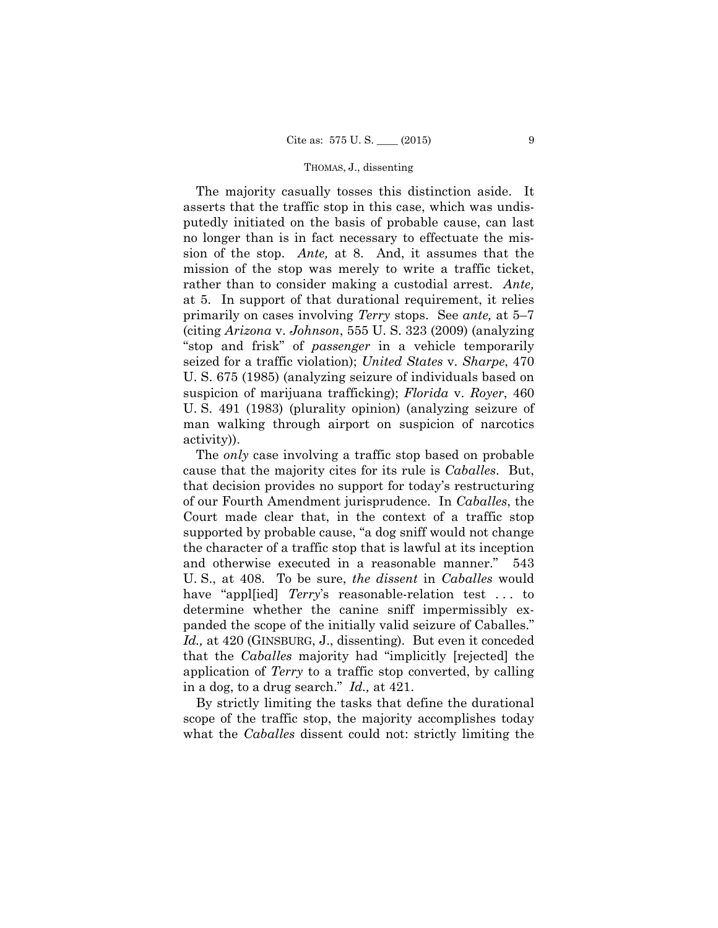The majority casually tosses this distinction aside. It asserts that the traffic stop in this case, which was undisputedly initiated on the basis of probable cause, can last no longer than is in fact necessary to effectuate the mission of the stop. *Ante,* at 8. And, it assumes that the mission of the stop was merely to write a traffic ticket, rather than to consider making a custodial arrest. *Ante,*  at 5. In support of that durational requirement, it relies primarily on cases involving *Terry* stops. See *ante,* at 5–7 (citing *Arizona* v. *Johnson*, 555 U. S. 323 (2009) (analyzing "stop and frisk" of *passenger* in a vehicle temporarily seized for a traffic violation); *United States* v. *Sharpe*, 470 U. S. 675 (1985) (analyzing seizure of individuals based on suspicion of marijuana trafficking); *Florida* v. *Royer*, 460 U. S. 491 (1983) (plurality opinion) (analyzing seizure of man walking through airport on suspicion of narcotics activity)).

The *only* case involving a traffic stop based on probable cause that the majority cites for its rule is *Caballes*. But, that decision provides no support for today's restructuring of our Fourth Amendment jurisprudence. In *Caballes*, the Court made clear that, in the context of a traffic stop supported by probable cause, "a dog sniff would not change the character of a traffic stop that is lawful at its inception and otherwise executed in a reasonable manner." 543 U. S., at 408. To be sure, *the dissent* in *Caballes* would have "appl[ied] *Terry*'s reasonable-relation test . . . to determine whether the canine sniff impermissibly expanded the scope of the initially valid seizure of Caballes." *Id.,* at 420 (GINSBURG, J., dissenting). But even it conceded that the *Caballes* majority had "implicitly [rejected] the application of *Terry* to a traffic stop converted, by calling in a dog, to a drug search." *Id.,* at 421.

By strictly limiting the tasks that define the durational scope of the traffic stop, the majority accomplishes today what the *Caballes* dissent could not: strictly limiting the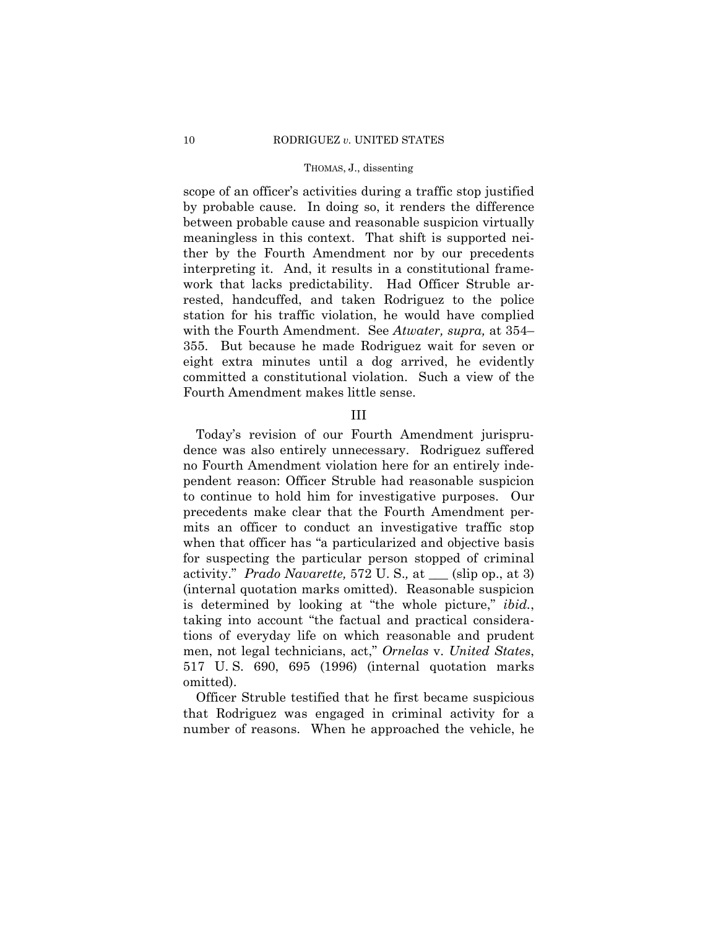scope of an officer's activities during a traffic stop justified by probable cause. In doing so, it renders the difference between probable cause and reasonable suspicion virtually meaningless in this context. That shift is supported neither by the Fourth Amendment nor by our precedents interpreting it. And, it results in a constitutional framework that lacks predictability. Had Officer Struble arrested, handcuffed, and taken Rodriguez to the police station for his traffic violation, he would have complied with the Fourth Amendment. See *Atwater, supra,* at 354– 355. But because he made Rodriguez wait for seven or eight extra minutes until a dog arrived, he evidently committed a constitutional violation. Such a view of the Fourth Amendment makes little sense.

## III

 activity." *Prado Navarette,* 572 U. S.*,* at \_\_\_ (slip op., at 3) Today's revision of our Fourth Amendment jurisprudence was also entirely unnecessary. Rodriguez suffered no Fourth Amendment violation here for an entirely independent reason: Officer Struble had reasonable suspicion to continue to hold him for investigative purposes. Our precedents make clear that the Fourth Amendment permits an officer to conduct an investigative traffic stop when that officer has "a particularized and objective basis for suspecting the particular person stopped of criminal (internal quotation marks omitted). Reasonable suspicion is determined by looking at "the whole picture," *ibid.*, taking into account "the factual and practical considerations of everyday life on which reasonable and prudent men, not legal technicians, act," *Ornelas* v. *United States*, 517 U. S. 690, 695 (1996) (internal quotation marks omitted).

 number of reasons. When he approached the vehicle, he Officer Struble testified that he first became suspicious that Rodriguez was engaged in criminal activity for a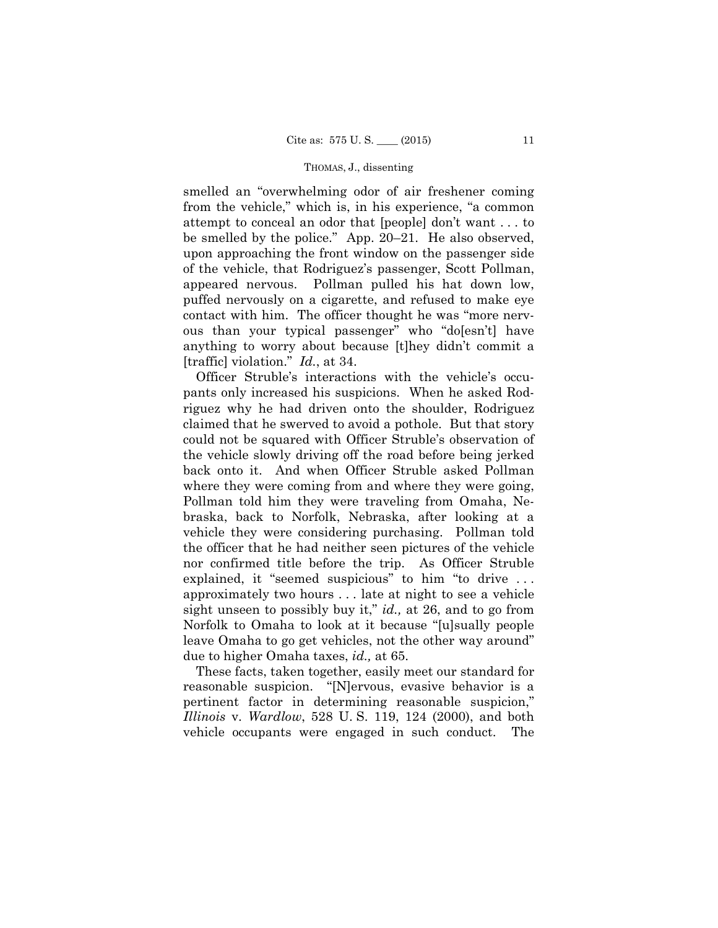smelled an "overwhelming odor of air freshener coming from the vehicle," which is, in his experience, "a common attempt to conceal an odor that [people] don't want . . . to be smelled by the police." App. 20–21. He also observed, upon approaching the front window on the passenger side of the vehicle, that Rodriguez's passenger, Scott Pollman, appeared nervous. Pollman pulled his hat down low, puffed nervously on a cigarette, and refused to make eye contact with him. The officer thought he was "more nervous than your typical passenger" who "do[esn't] have anything to worry about because [t]hey didn't commit a [traffic] violation." *Id.*, at 34.

Officer Struble's interactions with the vehicle's occupants only increased his suspicions. When he asked Rodriguez why he had driven onto the shoulder, Rodriguez claimed that he swerved to avoid a pothole. But that story could not be squared with Officer Struble's observation of the vehicle slowly driving off the road before being jerked back onto it. And when Officer Struble asked Pollman where they were coming from and where they were going, Pollman told him they were traveling from Omaha, Nebraska, back to Norfolk, Nebraska, after looking at a vehicle they were considering purchasing. Pollman told the officer that he had neither seen pictures of the vehicle nor confirmed title before the trip. As Officer Struble explained, it "seemed suspicious" to him "to drive . . . approximately two hours . . . late at night to see a vehicle sight unseen to possibly buy it," *id.,* at 26, and to go from Norfolk to Omaha to look at it because "[u]sually people leave Omaha to go get vehicles, not the other way around" due to higher Omaha taxes, *id.,* at 65.

These facts, taken together, easily meet our standard for reasonable suspicion. "[N]ervous, evasive behavior is a pertinent factor in determining reasonable suspicion," *Illinois* v. *Wardlow*, 528 U. S. 119, 124 (2000), and both vehicle occupants were engaged in such conduct. The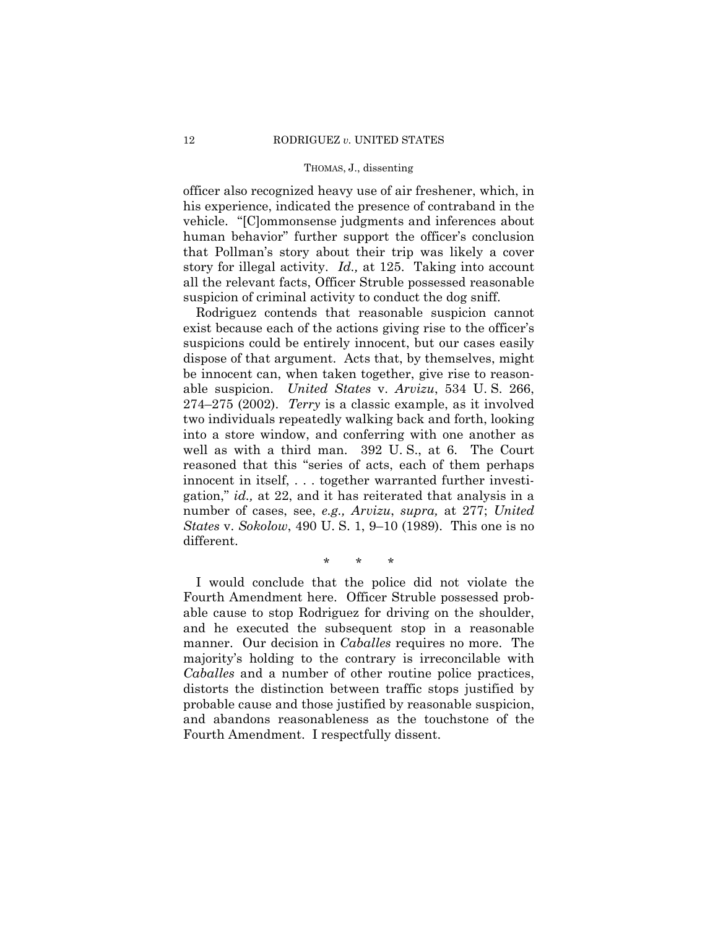officer also recognized heavy use of air freshener, which, in his experience, indicated the presence of contraband in the vehicle. "[C]ommonsense judgments and inferences about human behavior" further support the officer's conclusion that Pollman's story about their trip was likely a cover story for illegal activity. *Id.,* at 125. Taking into account all the relevant facts, Officer Struble possessed reasonable suspicion of criminal activity to conduct the dog sniff.

Rodriguez contends that reasonable suspicion cannot exist because each of the actions giving rise to the officer's suspicions could be entirely innocent, but our cases easily dispose of that argument. Acts that, by themselves, might be innocent can, when taken together, give rise to reasonable suspicion. *United States* v. *Arvizu*, 534 U. S. 266, 274–275 (2002). *Terry* is a classic example, as it involved two individuals repeatedly walking back and forth, looking into a store window, and conferring with one another as well as with a third man. 392 U. S., at 6. The Court reasoned that this "series of acts, each of them perhaps innocent in itself, . . . together warranted further investigation," *id.,* at 22, and it has reiterated that analysis in a number of cases, see, *e.g., Arvizu*, *supra,* at 277; *United States* v. *Sokolow*, 490 U. S. 1, 9–10 (1989). This one is no different.

\* \* \*

I would conclude that the police did not violate the Fourth Amendment here. Officer Struble possessed probable cause to stop Rodriguez for driving on the shoulder, and he executed the subsequent stop in a reasonable manner. Our decision in *Caballes* requires no more. The majority's holding to the contrary is irreconcilable with *Caballes* and a number of other routine police practices, distorts the distinction between traffic stops justified by probable cause and those justified by reasonable suspicion, and abandons reasonableness as the touchstone of the Fourth Amendment. I respectfully dissent.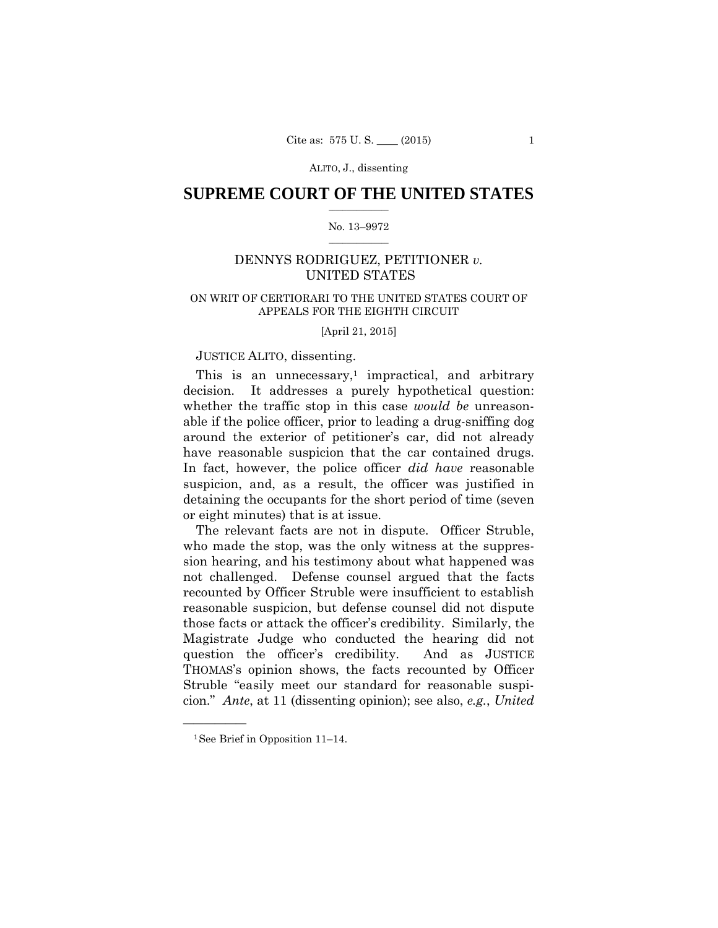### $\frac{1}{2}$  , where  $\frac{1}{2}$ **SUPREME COURT OF THE UNITED STATES**

#### $\frac{1}{2}$  ,  $\frac{1}{2}$  ,  $\frac{1}{2}$  ,  $\frac{1}{2}$  ,  $\frac{1}{2}$  ,  $\frac{1}{2}$ No. 13–9972

## DENNYS RODRIGUEZ, PETITIONER *v.* UNITED STATES

## ON WRIT OF CERTIORARI TO THE UNITED STATES COURT OF APPEALS FOR THE EIGHTH CIRCUIT

#### [April 21, 2015]

## JUSTICE ALITO, dissenting.

 have reasonable suspicion that the car contained drugs. This is an unnecessary,<sup>1</sup> impractical, and arbitrary decision. It addresses a purely hypothetical question: whether the traffic stop in this case *would be* unreasonable if the police officer, prior to leading a drug-sniffing dog around the exterior of petitioner's car, did not already In fact, however, the police officer *did have* reasonable suspicion, and, as a result, the officer was justified in detaining the occupants for the short period of time (seven or eight minutes) that is at issue.

 cion." *Ante*, at 11 (dissenting opinion); see also, *e.g.*, *United*  The relevant facts are not in dispute. Officer Struble, who made the stop, was the only witness at the suppression hearing, and his testimony about what happened was not challenged. Defense counsel argued that the facts recounted by Officer Struble were insufficient to establish reasonable suspicion, but defense counsel did not dispute those facts or attack the officer's credibility. Similarly, the Magistrate Judge who conducted the hearing did not question the officer's credibility. And as JUSTICE THOMAS's opinion shows, the facts recounted by Officer Struble "easily meet our standard for reasonable suspi-

——————

<sup>1</sup>See Brief in Opposition 11–14.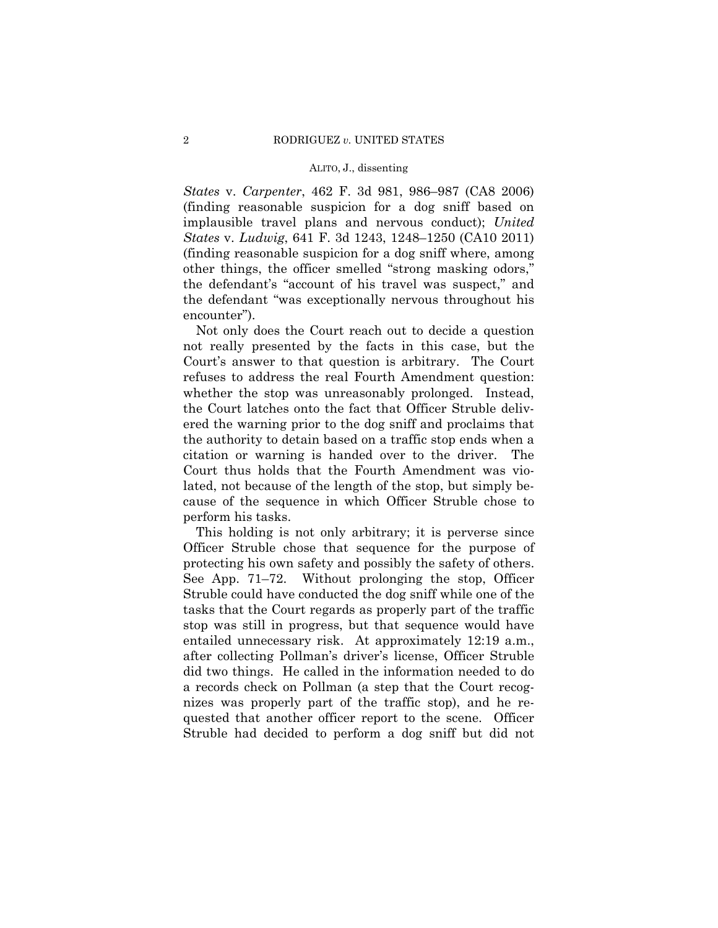*States* v. *Carpenter*, 462 F. 3d 981, 986–987 (CA8 2006) (finding reasonable suspicion for a dog sniff based on implausible travel plans and nervous conduct); *United States* v. *Ludwig*, 641 F. 3d 1243, 1248–1250 (CA10 2011) (finding reasonable suspicion for a dog sniff where, among other things, the officer smelled "strong masking odors," the defendant's "account of his travel was suspect," and the defendant "was exceptionally nervous throughout his encounter").

Not only does the Court reach out to decide a question not really presented by the facts in this case, but the Court's answer to that question is arbitrary. The Court refuses to address the real Fourth Amendment question: whether the stop was unreasonably prolonged. Instead, the Court latches onto the fact that Officer Struble delivered the warning prior to the dog sniff and proclaims that the authority to detain based on a traffic stop ends when a citation or warning is handed over to the driver. The Court thus holds that the Fourth Amendment was violated, not because of the length of the stop, but simply because of the sequence in which Officer Struble chose to perform his tasks.

This holding is not only arbitrary; it is perverse since Officer Struble chose that sequence for the purpose of protecting his own safety and possibly the safety of others. See App. 71–72. Without prolonging the stop, Officer Struble could have conducted the dog sniff while one of the tasks that the Court regards as properly part of the traffic stop was still in progress, but that sequence would have entailed unnecessary risk. At approximately 12:19 a.m., after collecting Pollman's driver's license, Officer Struble did two things. He called in the information needed to do a records check on Pollman (a step that the Court recognizes was properly part of the traffic stop), and he requested that another officer report to the scene. Officer Struble had decided to perform a dog sniff but did not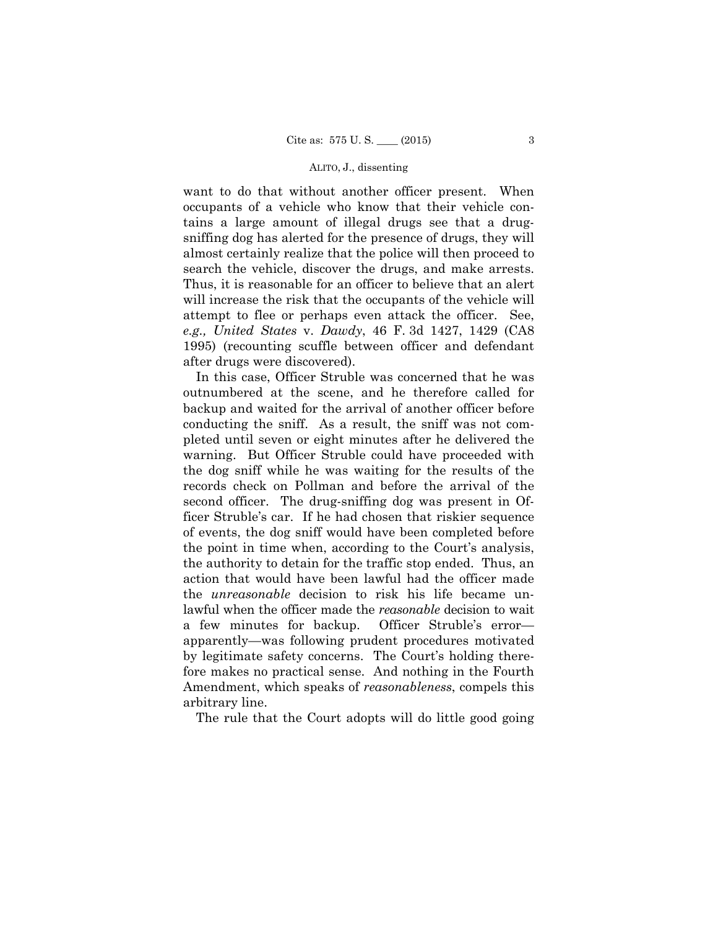want to do that without another officer present. When occupants of a vehicle who know that their vehicle contains a large amount of illegal drugs see that a drugsniffing dog has alerted for the presence of drugs, they will almost certainly realize that the police will then proceed to search the vehicle, discover the drugs, and make arrests. Thus, it is reasonable for an officer to believe that an alert will increase the risk that the occupants of the vehicle will attempt to flee or perhaps even attack the officer. See, *e.g., United States* v. *Dawdy*, 46 F. 3d 1427, 1429 (CA8 1995) (recounting scuffle between officer and defendant after drugs were discovered).

 lawful when the officer made the *reasonable* decision to wait In this case, Officer Struble was concerned that he was outnumbered at the scene, and he therefore called for backup and waited for the arrival of another officer before conducting the sniff. As a result, the sniff was not completed until seven or eight minutes after he delivered the warning. But Officer Struble could have proceeded with the dog sniff while he was waiting for the results of the records check on Pollman and before the arrival of the second officer. The drug-sniffing dog was present in Officer Struble's car. If he had chosen that riskier sequence of events, the dog sniff would have been completed before the point in time when, according to the Court's analysis, the authority to detain for the traffic stop ended. Thus, an action that would have been lawful had the officer made the *unreasonable* decision to risk his life became una few minutes for backup. Officer Struble's error apparently—was following prudent procedures motivated by legitimate safety concerns. The Court's holding therefore makes no practical sense. And nothing in the Fourth Amendment, which speaks of *reasonableness*, compels this arbitrary line.

The rule that the Court adopts will do little good going